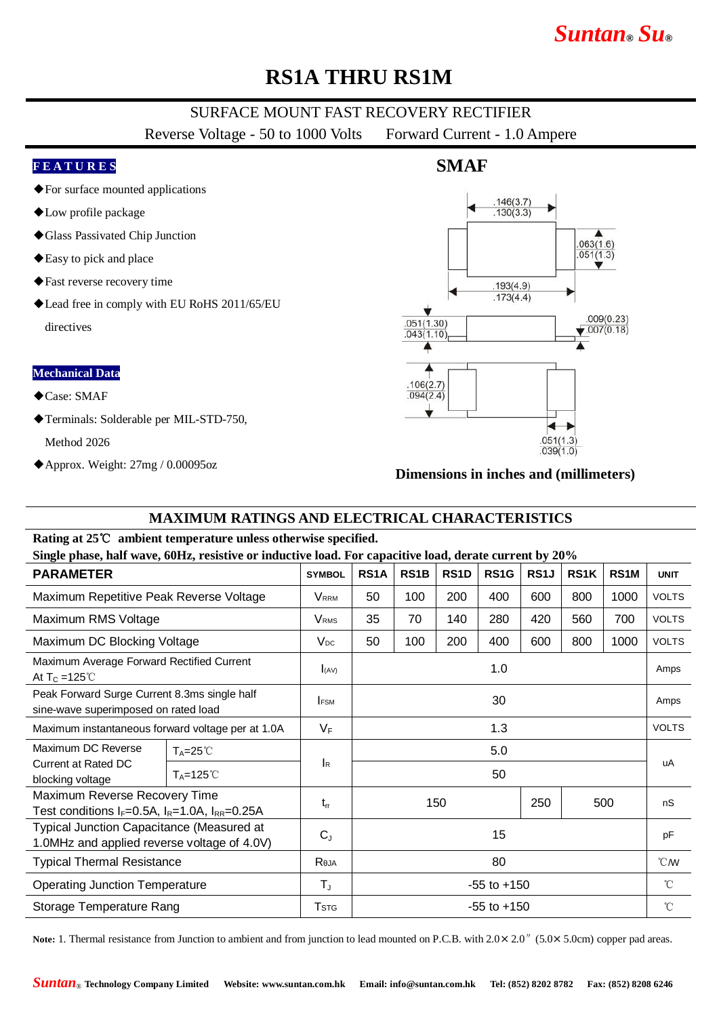# *Suntan***®** *Su***®**

## **RS1A THRU RS1M**

### SURFACE MOUNT FAST RECOVERY RECTIFIER

Reverse Voltage - 50 to 1000 Volts Forward Current - 1.0 Ampere

#### **F E A T U R E S**

- ◆For surface mounted applications
- ◆Low profile package
- ◆Glass Passivated Chip Junction
- ◆Easy to pick and place
- ◆Fast reverse recovery time
- ◆Lead free in comply with EU RoHS 2011/65/EU directives

#### **Mechanical Data**

- ◆Case: SMAF
- ◆Terminals: Solderable per MIL-STD-750,

Method 2026

◆Approx. Weight: 27mg / 0.00095oz

### **SMAF**



#### **Dimensions in inches and (millimeters)**

### **MAXIMUM RATINGS AND ELECTRICAL CHARACTERISTICS**

#### **Rating at 25**℃ **ambient temperature unless otherwise specified.**

**Single phase, half wave, 60Hz, resistive or inductive load. For capacitive load, derate current by 20%**

| <b>PARAMETER</b>                                                                          |                      | <b>SYMBOL</b>             | RS1A            | RS1B | RS <sub>1</sub> D | RS1G | RS1J | <b>RS1K</b> | RS <sub>1</sub> M | <b>UNIT</b>     |
|-------------------------------------------------------------------------------------------|----------------------|---------------------------|-----------------|------|-------------------|------|------|-------------|-------------------|-----------------|
| Maximum Repetitive Peak Reverse Voltage                                                   |                      | <b>VRRM</b>               | 50              | 100  | 200               | 400  | 600  | 800         | 1000              | <b>VOLTS</b>    |
| Maximum RMS Voltage                                                                       |                      | <b>V</b> <sub>RMS</sub>   | 35              | 70   | 140               | 280  | 420  | 560         | 700               | <b>VOLTS</b>    |
| Maximum DC Blocking Voltage                                                               |                      | $V_{DC}$                  | 50              | 100  | 200               | 400  | 600  | 800         | 1000              | <b>VOLTS</b>    |
| Maximum Average Forward Rectified Current<br>At $T_c = 125^{\circ}$                       |                      | I(AV)                     | 1.0             |      |                   |      |      |             |                   | Amps            |
| Peak Forward Surge Current 8.3ms single half<br>sine-wave superimposed on rated load      |                      | <b>FSM</b>                | 30              |      |                   |      |      |             |                   | Amps            |
| Maximum instantaneous forward voltage per at 1.0A                                         |                      | $V_F$                     | 1.3             |      |                   |      |      |             |                   | <b>VOLTS</b>    |
| Maximum DC Reverse<br><b>Current at Rated DC</b><br>blocking voltage                      | $T_A = 25^{\circ}$   | $\mathsf{I}_{\mathsf{R}}$ | 5.0             |      |                   |      |      |             |                   | uA              |
|                                                                                           | $T_A = 125^{\circ}C$ |                           | 50              |      |                   |      |      |             |                   |                 |
| Maximum Reverse Recovery Time<br>Test conditions $I_F=0.5A$ , $I_R=1.0A$ , $I_{RR}=0.25A$ |                      | $t_{rr}$                  | 150             |      |                   | 250  | 500  |             | nS                |                 |
| Typical Junction Capacitance (Measured at<br>1.0MHz and applied reverse voltage of 4.0V)  |                      | $C_{J}$                   | 15              |      |                   |      |      |             |                   | pF              |
| <b>Typical Thermal Resistance</b>                                                         |                      | Reja                      | 80              |      |                   |      |      |             |                   | $\mathcal{C}$ M |
| <b>Operating Junction Temperature</b>                                                     |                      | $T_{J}$                   | $-55$ to $+150$ |      |                   |      |      |             |                   | $^{\circ}$ C    |
| Storage Temperature Rang                                                                  |                      | <b>T</b> <sub>STG</sub>   | $-55$ to $+150$ |      |                   |      |      |             |                   | $^{\circ}$ C    |

Note: 1. Thermal resistance from Junction to ambient and from junction to lead mounted on P.C.B. with  $2.0 \times 2.0$ <sup>"</sup> (5.0×5.0cm) copper pad areas.